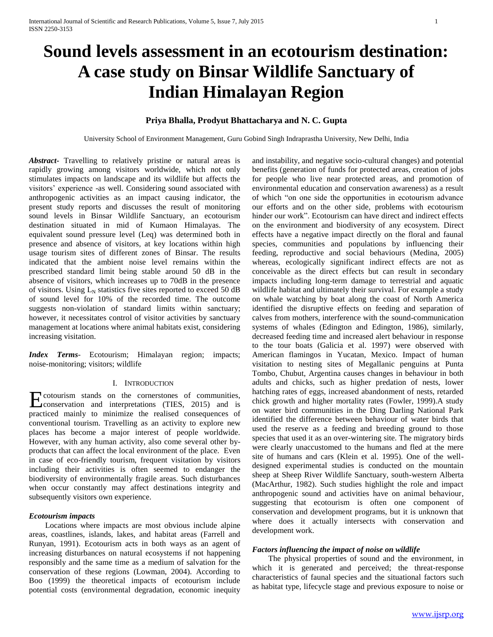# **Sound levels assessment in an ecotourism destination: A case study on Binsar Wildlife Sanctuary of Indian Himalayan Region**

## **Priya Bhalla, Prodyut Bhattacharya and N. C. Gupta**

University School of Environment Management, Guru Gobind Singh Indraprastha University, New Delhi, India

*Abstract***-** Travelling to relatively pristine or natural areas is rapidly growing among visitors worldwide, which not only stimulates impacts on landscape and its wildlife but affects the visitors' experience -as well. Considering sound associated with anthropogenic activities as an impact causing indicator, the present study reports and discusses the result of monitoring sound levels in Binsar Wildlife Sanctuary, an ecotourism destination situated in mid of Kumaon Himalayas. The equivalent sound pressure level (Leq) was determined both in presence and absence of visitors, at key locations within high usage tourism sites of different zones of Binsar. The results indicated that the ambient noise level remains within the prescribed standard limit being stable around 50 dB in the absence of visitors, which increases up to 70dB in the presence of visitors. Using  $L_N$  statistics five sites reported to exceed 50 dB of sound level for 10% of the recorded time. The outcome suggests non-violation of standard limits within sanctuary; however, it necessitates control of visitor activities by sanctuary management at locations where animal habitats exist, considering increasing visitation.

*Index Terms*- Ecotourism; Himalayan region; impacts; noise-monitoring; visitors; wildlife

## I. INTRODUCTION

cotourism stands on the cornerstones of communities, Exponential content of the cornerstones of communities,<br>
conservation and interpretations (TIES, 2015) and is practiced mainly to minimize the realised consequences of conventional tourism. Travelling as an activity to explore new places has become a major interest of people worldwide. However, with any human activity, also come several other byproducts that can affect the local environment of the place. Even in case of eco-friendly tourism, frequent visitation by visitors including their activities is often seemed to endanger the biodiversity of environmentally fragile areas. Such disturbances when occur constantly may affect destinations integrity and subsequently visitors own experience.

## *Ecotourism impacts*

 Locations where impacts are most obvious include alpine areas, coastlines, islands, lakes, and habitat areas (Farrell and Runyan, 1991). Ecotourism acts in both ways as an agent of increasing disturbances on natural ecosystems if not happening responsibly and the same time as a medium of salvation for the conservation of these regions (Lowman, 2004). According to Boo (1999) the theoretical impacts of ecotourism include potential costs (environmental degradation, economic inequity

and instability, and negative socio-cultural changes) and potential benefits (generation of funds for protected areas, creation of jobs for people who live near protected areas, and promotion of environmental education and conservation awareness) as a result of which "on one side the opportunities in ecotourism advance our efforts and on the other side, problems with ecotourism hinder our work". Ecotourism can have direct and indirect effects on the environment and biodiversity of any ecosystem. Direct effects have a negative impact directly on the floral and faunal species, communities and populations by influencing their feeding, reproductive and social behaviours (Medina, 2005) whereas, ecologically significant indirect effects are not as conceivable as the direct effects but can result in secondary impacts including long-term damage to terrestrial and aquatic wildlife habitat and ultimately their survival. For example a study on whale watching by boat along the coast of North America identified the disruptive effects on feeding and separation of calves from mothers, interference with the sound-communication systems of whales (Edington and Edington, 1986), similarly, decreased feeding time and increased alert behaviour in response to the tour boats (Galicia et al. 1997) were observed with American flamingos in Yucatan, Mexico. Impact of human visitation to nesting sites of Megallanic penguins at Punta Tombo, Chubut, Argentina causes changes in behaviour in both adults and chicks, such as higher predation of nests, lower hatching rates of eggs, increased abandonment of nests, retarded chick growth and higher mortality rates (Fowler, 1999).A study on water bird communities in the Ding Darling National Park identified the difference between behaviour of water birds that used the reserve as a feeding and breeding ground to those species that used it as an over-wintering site. The migratory birds were clearly unaccustomed to the humans and fled at the mere site of humans and cars (Klein et al. 1995). One of the welldesigned experimental studies is conducted on the mountain sheep at Sheep River Wildlife Sanctuary, south-western Alberta (MacArthur, 1982). Such studies highlight the role and impact anthropogenic sound and activities have on animal behaviour, suggesting that ecotourism is often one component of conservation and development programs, but it is unknown that where does it actually intersects with conservation and development work.

## *Factors influencing the impact of noise on wildlife*

 The physical properties of sound and the environment, in which it is generated and perceived; the threat-response characteristics of faunal species and the situational factors such as habitat type, lifecycle stage and previous exposure to noise or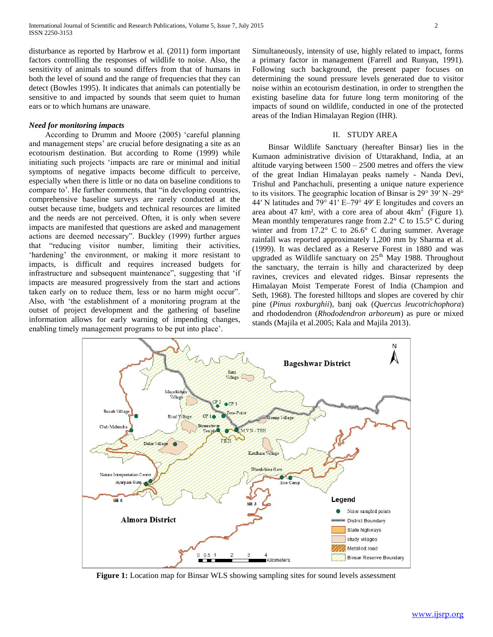disturbance as reported by Harbrow et al. (2011) form important factors controlling the responses of wildlife to noise. Also, the sensitivity of animals to sound differs from that of humans in both the level of sound and the range of frequencies that they can detect (Bowles 1995). It indicates that animals can potentially be sensitive to and impacted by sounds that seem quiet to human ears or to which humans are unaware.

## *Need for monitoring impacts*

 According to Drumm and Moore (2005) 'careful planning and management steps' are crucial before designating a site as an ecotourism destination. But according to Rome (1999) while initiating such projects 'impacts are rare or minimal and initial symptoms of negative impacts become difficult to perceive, especially when there is little or no data on baseline conditions to compare to'. He further comments, that "in developing countries, comprehensive baseline surveys are rarely conducted at the outset because time, budgets and technical resources are limited and the needs are not perceived. Often, it is only when severe impacts are manifested that questions are asked and management actions are deemed necessary". Buckley (1999) further argues that "reducing visitor number, limiting their activities, 'hardening' the environment, or making it more resistant to impacts, is difficult and requires increased budgets for infrastructure and subsequent maintenance", suggesting that 'if impacts are measured progressively from the start and actions taken early on to reduce them, less or no harm might occur". Also, with 'the establishment of a monitoring program at the outset of project development and the gathering of baseline information allows for early warning of impending changes, enabling timely management programs to be put into place'.

Simultaneously, intensity of use, highly related to impact, forms a primary factor in management (Farrell and Runyan, 1991). Following such background, the present paper focuses on determining the sound pressure levels generated due to visitor noise within an ecotourism destination, in order to strengthen the existing baseline data for future long term monitoring of the impacts of sound on wildlife, conducted in one of the protected areas of the Indian Himalayan Region (IHR).

## II. STUDY AREA

 Binsar Wildlife Sanctuary (hereafter Binsar) lies in the Kumaon administrative division of Uttarakhand, India, at an altitude varying between  $1500 - 2500$  metres and offers the view of the great Indian Himalayan peaks namely - Nanda Devi, Trishul and Panchachuli, presenting a unique nature experience to its visitors. The geographic location of Binsar is 29° 39′ N–29° 44′ N latitudes and 79° 41′ E–79° 49′ E longitudes and covers an area about 47 km<sup>2</sup>, with a core area of about  $4km^2$  (Figure 1). Mean monthly temperatures range from 2.2° C to 15.5° C during winter and from 17.2° C to 26.6° C during summer. Average rainfall was reported approximately 1,200 mm by Sharma et al. (1999). It was declared as a Reserve Forest in 1880 and was upgraded as Wildlife sanctuary on  $25<sup>th</sup>$  May 1988. Throughout the sanctuary, the terrain is hilly and characterized by deep ravines, crevices and elevated ridges. Binsar represents the Himalayan Moist Temperate Forest of India (Champion and Seth, 1968). The forested hilltops and slopes are covered by chir pine (*Pinus roxburghii*), banj oak (*Quercus leucotrichophora*) and rhododendron (*Rhododendron arboreum*) as pure or mixed stands (Majila et al.2005; Kala and Majila 2013).



**Figure 1:** Location map for Binsar WLS showing sampling sites for sound levels assessment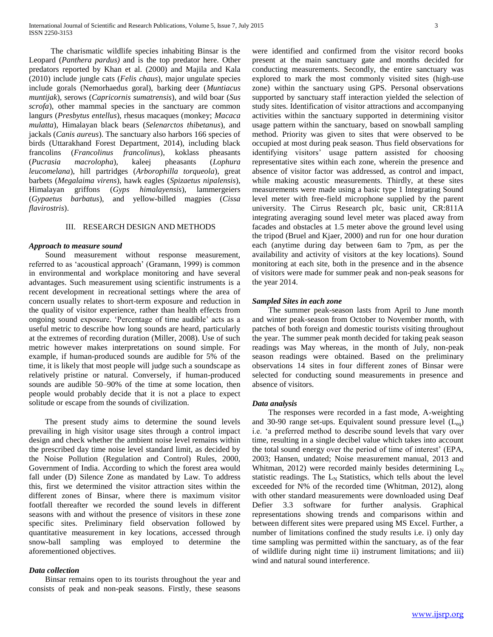The charismatic wildlife species inhabiting Binsar is the Leopard (*Panthera pardus)* and is the top predator here. Other predators reported by Khan et al. (2000) and Majila and Kala (2010) include jungle cats (*Felis chaus*), major ungulate species include gorals (Nemorhaedus goral), barking deer (*Muntiacus muntijak*), serows (*Capricornis sumatrensis*), and wild boar (*Sus scrofa*), other mammal species in the sanctuary are common langurs (*Presbytus entellus*), rhesus macaques (monkey; *Macaca mulatta*), Himalayan black bears (*Selenarctos thibetanus*), and jackals (*Canis aureus*). The sanctuary also harbors 166 species of birds (Uttarakhand Forest Department, 2014), including black francolins (*Francolinus francolinus*), koklass pheasants (*Pucrasia macrolopha*), kaleej pheasants (*Lophura leucomelana*), hill partridges (*Arborophilla torqueola*), great barbets (*Megalaima virens*), hawk eagles (*Spizaetus nipalensis*), Himalayan griffons (*Gyps himalayensis*), lammergeiers (*Gypaetus barbatus*), and yellow-billed magpies (*Cissa flavirostris*).

## III. RESEARCH DESIGN AND METHODS

## *Approach to measure sound*

 Sound measurement without response measurement, referred to as 'acoustical approach' (Gramann, 1999) is common in environmental and workplace monitoring and have several advantages. Such measurement using scientific instruments is a recent development in recreational settings where the area of concern usually relates to short-term exposure and reduction in the quality of visitor experience, rather than health effects from ongoing sound exposure. 'Percentage of time audible' acts as a useful metric to describe how long sounds are heard, particularly at the extremes of recording duration (Miller, 2008). Use of such metric however makes interpretations on sound simple. For example, if human-produced sounds are audible for 5% of the time, it is likely that most people will judge such a soundscape as relatively pristine or natural. Conversely, if human-produced sounds are audible 50–90% of the time at some location, then people would probably decide that it is not a place to expect solitude or escape from the sounds of civilization.

 The present study aims to determine the sound levels prevailing in high visitor usage sites through a control impact design and check whether the ambient noise level remains within the prescribed day time noise level standard limit, as decided by the Noise Pollution (Regulation and Control) Rules, 2000, Government of India. According to which the forest area would fall under (D) Silence Zone as mandated by Law. To address this, first we determined the visitor attraction sites within the different zones of Binsar, where there is maximum visitor footfall thereafter we recorded the sound levels in different seasons with and without the presence of visitors in these zone specific sites. Preliminary field observation followed by quantitative measurement in key locations, accessed through snow-ball sampling was employed to determine the aforementioned objectives.

## *Data collection*

 Binsar remains open to its tourists throughout the year and consists of peak and non-peak seasons. Firstly, these seasons

were identified and confirmed from the visitor record books present at the main sanctuary gate and months decided for conducting measurements. Secondly, the entire sanctuary was explored to mark the most commonly visited sites (high-use zone) within the sanctuary using GPS. Personal observations supported by sanctuary staff interaction yielded the selection of study sites. Identification of visitor attractions and accompanying activities within the sanctuary supported in determining visitor usage pattern within the sanctuary, based on snowball sampling method. Priority was given to sites that were observed to be occupied at most during peak season. Thus field observations for identifying visitors' usage pattern assisted for choosing representative sites within each zone, wherein the presence and absence of visitor factor was addressed, as control and impact, while making acoustic measurements. Thirdly, at these sites measurements were made using a basic type 1 Integrating Sound level meter with free-field microphone supplied by the parent university. The Cirrus Research plc, basic unit, CR:811A integrating averaging sound level meter was placed away from facades and obstacles at 1.5 meter above the ground level using the tripod (Bruel and Kjaer, 2000) and run for one hour duration each (anytime during day between 6am to 7pm, as per the availability and activity of visitors at the key locations). Sound monitoring at each site, both in the presence and in the absence of visitors were made for summer peak and non-peak seasons for the year 2014.

## *Sampled Sites in each zone*

 The summer peak-season lasts from April to June month and winter peak-season from October to November month, with patches of both foreign and domestic tourists visiting throughout the year. The summer peak month decided for taking peak season readings was May whereas, in the month of July, non-peak season readings were obtained. Based on the preliminary observations 14 sites in four different zones of Binsar were selected for conducting sound measurements in presence and absence of visitors.

#### *Data analysis*

 The responses were recorded in a fast mode, A-weighting and 30-90 range set-ups. Equivalent sound pressure level  $(L_{eq})$ i.e. 'a preferred method to describe sound levels that vary over time, resulting in a single decibel value which takes into account the total sound energy over the period of time of interest' (EPA, 2003; Hansen, undated; Noise measurement manual, 2013 and Whitman, 2012) were recorded mainly besides determining  $L_N$ statistic readings. The  $L_N$  Statistics, which tells about the level exceeded for N% of the recorded time (Whitman, 2012), along with other standard measurements were downloaded using Deaf Defier 3.3 software for further analysis. Graphical representations showing trends and comparisons within and between different sites were prepared using MS Excel. Further, a number of limitations confined the study results i.e. i) only day time sampling was permitted within the sanctuary, as of the fear of wildlife during night time ii) instrument limitations; and iii) wind and natural sound interference.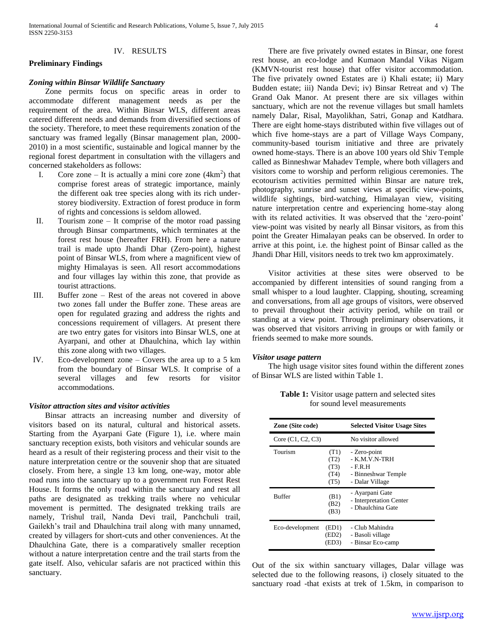## IV. RESULTS

## **Preliminary Findings**

## *Zoning within Binsar Wildlife Sanctuary*

 Zone permits focus on specific areas in order to accommodate different management needs as per the requirement of the area. Within Binsar WLS, different areas catered different needs and demands from diversified sections of the society. Therefore, to meet these requirements zonation of the sanctuary was framed legally (Binsar management plan, 2000- 2010) in a most scientific, sustainable and logical manner by the regional forest department in consultation with the villagers and concerned stakeholders as follows:

- I. Core zone It is actually a mini core zone  $(4km^2)$  that comprise forest areas of strategic importance, mainly the different oak tree species along with its rich understorey biodiversity. Extraction of forest produce in form of rights and concessions is seldom allowed.
- II. Tourism zone It comprise of the motor road passing through Binsar compartments, which terminates at the forest rest house (hereafter FRH). From here a nature trail is made upto Jhandi Dhar (Zero-point), highest point of Binsar WLS, from where a magnificent view of mighty Himalayas is seen. All resort accommodations and four villages lay within this zone, that provide as tourist attractions.
- III. Buffer zone Rest of the areas not covered in above two zones fall under the Buffer zone. These areas are open for regulated grazing and address the rights and concessions requirement of villagers. At present there are two entry gates for visitors into Binsar WLS, one at Ayarpani, and other at Dhaulchina, which lay within this zone along with two villages.
- IV. Eco-development zone Covers the area up to a 5 km from the boundary of Binsar WLS. It comprise of a several villages and few resorts for visitor accommodations.

## *Visitor attraction sites and visitor activities*

 Binsar attracts an increasing number and diversity of visitors based on its natural, cultural and historical assets. Starting from the Ayarpani Gate (Figure 1), i.e. where main sanctuary reception exists, both visitors and vehicular sounds are heard as a result of their registering process and their visit to the nature interpretation centre or the souvenir shop that are situated closely. From here, a single 13 km long, one-way, motor able road runs into the sanctuary up to a government run Forest Rest House. It forms the only road within the sanctuary and rest all paths are designated as trekking trails where no vehicular movement is permitted. The designated trekking trails are namely, Trishul trail, Nanda Devi trail, Panchchuli trail, Gailekh's trail and Dhaulchina trail along with many unnamed, created by villagers for short-cuts and other conveniences. At the Dhaulchina Gate, there is a comparatively smaller reception without a nature interpretation centre and the trail starts from the gate itself. Also, vehicular safaris are not practiced within this sanctuary.

 There are five privately owned estates in Binsar, one forest rest house, an eco-lodge and Kumaon Mandal Vikas Nigam (KMVN-tourist rest house) that offer visitor accommodation. The five privately owned Estates are i) Khali estate; ii) Mary Budden estate; iii) Nanda Devi; iv) Binsar Retreat and v) The Grand Oak Manor. At present there are six villages within sanctuary, which are not the revenue villages but small hamlets namely Dalar, Risal, Mayolikhan, Satri, Gonap and Katdhara. There are eight home-stays distributed within five villages out of which five home-stays are a part of Village Ways Company, community-based tourism initiative and three are privately owned home-stays. There is an above 100 years old Shiv Temple called as Binneshwar Mahadev Temple, where both villagers and visitors come to worship and perform religious ceremonies. The ecotourism activities permitted within Binsar are nature trek, photography, sunrise and sunset views at specific view-points, wildlife sightings, bird-watching, Himalayan view, visiting nature interpretation centre and experiencing home-stay along with its related activities. It was observed that the 'zero-point' view-point was visited by nearly all Binsar visitors, as from this point the Greater Himalayan peaks can be observed. In order to arrive at this point, i.e. the highest point of Binsar called as the Jhandi Dhar Hill, visitors needs to trek two km approximately.

 Visitor activities at these sites were observed to be accompanied by different intensities of sound ranging from a small whisper to a loud laughter. Clapping, shouting, screaming and conversations, from all age groups of visitors, were observed to prevail throughout their activity period, while on trail or standing at a view point. Through preliminary observations, it was observed that visitors arriving in groups or with family or friends seemed to make more sounds.

### *Visitor usage pattern*

 The high usage visitor sites found within the different zones of Binsar WLS are listed within Table 1.

**Table 1:** Visitor usage pattern and selected sites for sound level measurements

| Zone (Site code)    |                                      | <b>Selected Visitor Usage Sites</b>                                                |
|---------------------|--------------------------------------|------------------------------------------------------------------------------------|
| Core $(C1, C2, C3)$ |                                      | No visitor allowed                                                                 |
| Tourism             | (T1)<br>(T2)<br>(T3)<br>(T4)<br>(T5) | - Zero-point<br>- K M V N-TRH<br>- F.R.H<br>- Binneshwar Temple<br>- Dalar Village |
| <b>Buffer</b>       | (B1)<br>(B2)<br>(B3)                 | - Ayarpani Gate<br>- Interpretation Center<br>- Dhaulchina Gate                    |
| Eco-development     | (ED1)<br>(ED2)<br>(ED3)              | - Club Mahindra<br>- Basoli village<br>- Binsar Eco-camp                           |

Out of the six within sanctuary villages, Dalar village was selected due to the following reasons, i) closely situated to the sanctuary road -that exists at trek of 1.5km, in comparison to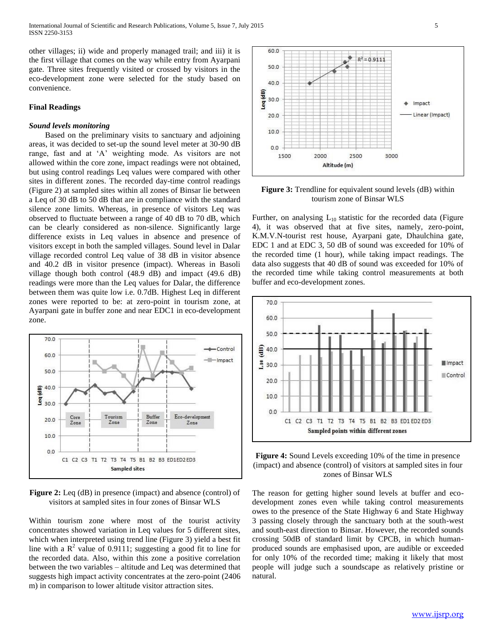other villages; ii) wide and properly managed trail; and iii) it is the first village that comes on the way while entry from Ayarpani gate. Three sites frequently visited or crossed by visitors in the eco-development zone were selected for the study based on convenience.

## **Final Readings**

## *Sound levels monitoring*

 Based on the preliminary visits to sanctuary and adjoining areas, it was decided to set-up the sound level meter at 30-90 dB range, fast and at 'A' weighting mode. As visitors are not allowed within the core zone, impact readings were not obtained, but using control readings Leq values were compared with other sites in different zones. The recorded day-time control readings (Figure 2) at sampled sites within all zones of Binsar lie between a Leq of 30 dB to 50 dB that are in compliance with the standard silence zone limits. Whereas, in presence of visitors Leq was observed to fluctuate between a range of 40 dB to 70 dB, which can be clearly considered as non-silence. Significantly large difference exists in Leq values in absence and presence of visitors except in both the sampled villages. Sound level in Dalar village recorded control Leq value of 38 dB in visitor absence and 40.2 dB in visitor presence (impact). Whereas in Basoli village though both control (48.9 dB) and impact (49.6 dB) readings were more than the Leq values for Dalar, the difference between them was quite low i.e. 0.7dB. Highest Leq in different zones were reported to be: at zero-point in tourism zone, at Ayarpani gate in buffer zone and near EDC1 in eco-development zone.



**Figure 2:** Leq (dB) in presence (impact) and absence (control) of visitors at sampled sites in four zones of Binsar WLS

Within tourism zone where most of the tourist activity concentrates showed variation in Leq values for 5 different sites, which when interpreted using trend line (Figure 3) yield a best fit line with a  $\mathbb{R}^2$  value of 0.9111; suggesting a good fit to line for the recorded data. Also, within this zone a positive correlation between the two variables – altitude and Leq was determined that suggests high impact activity concentrates at the zero-point (2406 m) in comparison to lower altitude visitor attraction sites.



Figure 3: Trendline for equivalent sound levels (dB) within tourism zone of Binsar WLS

Further, on analysing  $L_{10}$  statistic for the recorded data (Figure 4), it was observed that at five sites, namely, zero-point, K.M.V.N-tourist rest house, Ayarpani gate, Dhaulchina gate, EDC 1 and at EDC 3, 50 dB of sound was exceeded for 10% of the recorded time (1 hour), while taking impact readings. The data also suggests that 40 dB of sound was exceeded for 10% of the recorded time while taking control measurements at both buffer and eco-development zones.



**Figure 4:** Sound Levels exceeding 10% of the time in presence (impact) and absence (control) of visitors at sampled sites in four zones of Binsar WLS

The reason for getting higher sound levels at buffer and ecodevelopment zones even while taking control measurements owes to the presence of the State Highway 6 and State Highway 3 passing closely through the sanctuary both at the south-west and south-east direction to Binsar. However, the recorded sounds crossing 50dB of standard limit by CPCB, in which humanproduced sounds are emphasised upon, are audible or exceeded for only 10% of the recorded time; making it likely that most people will judge such a soundscape as relatively pristine or natural.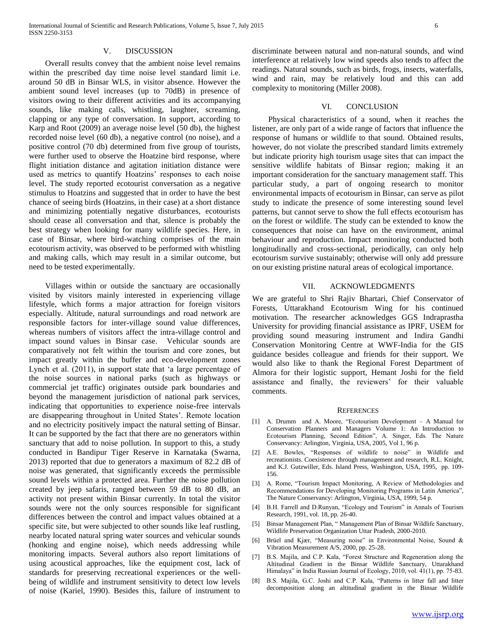## V. DISCUSSION

 Overall results convey that the ambient noise level remains within the prescribed day time noise level standard limit i.e. around 50 dB in Binsar WLS, in visitor absence. However the ambient sound level increases (up to 70dB) in presence of visitors owing to their different activities and its accompanying sounds, like making calls, whistling, laughter, screaming, clapping or any type of conversation. In support, according to Karp and Root (2009) an average noise level (50 db), the highest recorded noise level (60 db), a negative control (no noise), and a positive control (70 db) determined from five group of tourists, were further used to observe the Hoatzine bird response, where flight initiation distance and agitation initiation distance were used as metrics to quantify Hoatzins' responses to each noise level. The study reported ecotourist conversation as a negative stimulus to Hoatzins and suggested that in order to have the best chance of seeing birds (Hoatzins, in their case) at a short distance and minimizing potentially negative disturbances, ecotourists should cease all conversation and that, silence is probably the best strategy when looking for many wildlife species. Here, in case of Binsar, where bird-watching comprises of the main ecotourism activity, was observed to be performed with whistling and making calls, which may result in a similar outcome, but need to be tested experimentally.

 Villages within or outside the sanctuary are occasionally visited by visitors mainly interested in experiencing village lifestyle, which forms a major attraction for foreign visitors especially. Altitude, natural surroundings and road network are responsible factors for inter-village sound value differences, whereas numbers of visitors affect the intra-village control and impact sound values in Binsar case. Vehicular sounds are comparatively not felt within the tourism and core zones, but impact greatly within the buffer and eco-development zones Lynch et al. (2011), in support state that 'a large percentage of the noise sources in national parks (such as highways or commercial jet traffic) originates outside park boundaries and beyond the management jurisdiction of national park services, indicating that opportunities to experience noise-free intervals are disappearing throughout in United States'. Remote location and no electricity positively impact the natural setting of Binsar. It can be supported by the fact that there are no generators within sanctuary that add to noise pollution. In support to this, a study conducted in Bandipur Tiger Reserve in Karnataka (Swarna, 2013) reported that due to generators a maximum of 82.2 dB of noise was generated, that significantly exceeds the permissible sound levels within a protected area. Further the noise pollution created by jeep safaris, ranged between 59 dB to 80 dB, an activity not present within Binsar currently. In total the visitor sounds were not the only sources responsible for significant differences between the control and impact values obtained at a specific site, but were subjected to other sounds like leaf rustling, nearby located natural spring water sources and vehicular sounds (honking and engine noise), which needs addressing while monitoring impacts. Several authors also report limitations of using acoustical approaches, like the equipment cost, lack of standards for preserving recreational experiences or the wellbeing of wildlife and instrument sensitivity to detect low levels of noise (Kariel, 1990). Besides this, failure of instrument to

discriminate between natural and non-natural sounds, and wind interference at relatively low wind speeds also tends to affect the readings. Natural sounds, such as birds, frogs, insects, waterfalls, wind and rain, may be relatively loud and this can add complexity to monitoring (Miller 2008).

### VI. CONCLUSION

 Physical characteristics of a sound, when it reaches the listener, are only part of a wide range of factors that influence the response of humans or wildlife to that sound. Obtained results, however, do not violate the prescribed standard limits extremely but indicate priority high tourism usage sites that can impact the sensitive wildlife habitats of Binsar region; making it an important consideration for the sanctuary management staff. This particular study, a part of ongoing research to monitor environmental impacts of ecotourism in Binsar, can serve as pilot study to indicate the presence of some interesting sound level patterns, but cannot serve to show the full effects ecotourism has on the forest or wildlife. The study can be extended to know the consequences that noise can have on the environment, animal behaviour and reproduction. Impact monitoring conducted both longitudinally and cross-sectional, periodically, can only help ecotourism survive sustainably; otherwise will only add pressure on our existing pristine natural areas of ecological importance.

### VII. ACKNOWLEDGMENTS

We are grateful to Shri Rajiv Bhartari, Chief Conservator of Forests, Uttarakhand Ecotourism Wing for his continued motivation. The researcher acknowledges GGS Indraprastha University for providing financial assistance as IPRF, USEM for providing sound measuring instrument and Indira Gandhi Conservation Monitoring Centre at WWF-India for the GIS guidance besides colleague and friends for their support. We would also like to thank the Regional Forest Department of Almora for their logistic support, Hemant Joshi for the field assistance and finally, the reviewers' for their valuable comments.

#### **REFERENCES**

- [1] A. Drumm and A. Moore, "Ecotourism Development A Manual for Conservation Planners and Managers Volume 1: An Introduction to Ecotourism Planning, Second Edition", A. Singer, Eds. The Nature Conservancy: Arlington, Virginia, USA, 2005, Vol 1, 96 p.
- [2] A.E. Bowles, "Responses of wildlife to noise" in Wildlife and recreationists. Coexistence through management and research, R.L. Knight, and K.J. Gutzwiller, Eds. Island Press, Washington, USA, 1995, pp. 109- 156.
- [3] A. Rome, "Tourism Impact Monitoring, A Review of Methodologies and Recommendations for Developing Monitoring Programs in Latin America", The Nature Conservancy: Arlington, Virginia, USA, 1999, 54 p.
- [4] B.H. Farrell and D.Runyan, "Ecology and Tourism" in Annals of Tourism Research, 1991, vol. 18, pp. 26-40.
- [5] Binsar Management Plan, " Management Plan of Binsar Wildlife Sanctuary, Wildlife Preservation Organization Uttar Pradesh, 2000-2010.
- [6] Brüel and Kjær, "Measuring noise" in Environmental Noise, Sound & Vibration Measurement A/S, 2000, pp. 25-28.
- [7] B.S. Majila, and C.P. Kala, "Forest Structure and Regeneration along the Altitudinal Gradient in the Binsar Wildlife Sanctuary, Uttarakhand Himalaya" in India Russian Journal of Ecology, 2010, vol. 41(1), pp. 75-83.
- [8] B.S. Majila, G.C. Joshi and C.P. Kala, "Patterns in litter fall and litter decomposition along an altitudinal gradient in the Binsar Wildlife